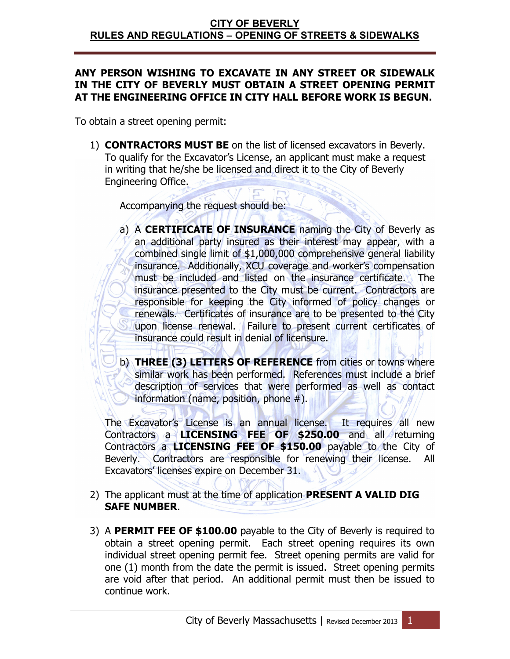## **ANY PERSON WISHING TO EXCAVATE IN ANY STREET OR SIDEWALK IN THE CITY OF BEVERLY MUST OBTAIN A STREET OPENING PERMIT AT THE ENGINEERING OFFICE IN CITY HALL BEFORE WORK IS BEGUN.**

To obtain a street opening permit:

1) **CONTRACTORS MUST BE** on the list of licensed excavators in Beverly. To qualify for the Excavator's License, an applicant must make a request in writing that he/she be licensed and direct it to the City of Beverly Engineering Office.

Accompanying the request should be:

- a) A **CERTIFICATE OF INSURANCE** naming the City of Beverly as an additional party insured as their interest may appear, with a combined single limit of \$1,000,000 comprehensive general liability insurance. Additionally, XCU coverage and worker's compensation must be included and listed on the insurance certificate. The insurance presented to the City must be current. Contractors are responsible for keeping the City informed of policy changes or renewals. Certificates of insurance are to be presented to the City upon license renewal. Failure to present current certificates of insurance could result in denial of licensure.
- b) **THREE (3) LETTERS OF REFERENCE** from cities or towns where similar work has been performed. References must include a brief description of services that were performed as well as contact information (name, position, phone  $#$ ).

The Excavator's License is an annual license. It requires all new Contractors a **LICENSING FEE OF \$250.00** and all returning Contractors a **LICENSING FEE OF \$150.00** payable to the City of Beverly. Contractors are responsible for renewing their license. All Excavators' licenses expire on December 31.

- 2) The applicant must at the time of application **PRESENT A VALID DIG SAFE NUMBER**.
- 3) A **PERMIT FEE OF \$100.00** payable to the City of Beverly is required to obtain a street opening permit. Each street opening requires its own individual street opening permit fee. Street opening permits are valid for one (1) month from the date the permit is issued. Street opening permits are void after that period. An additional permit must then be issued to continue work.